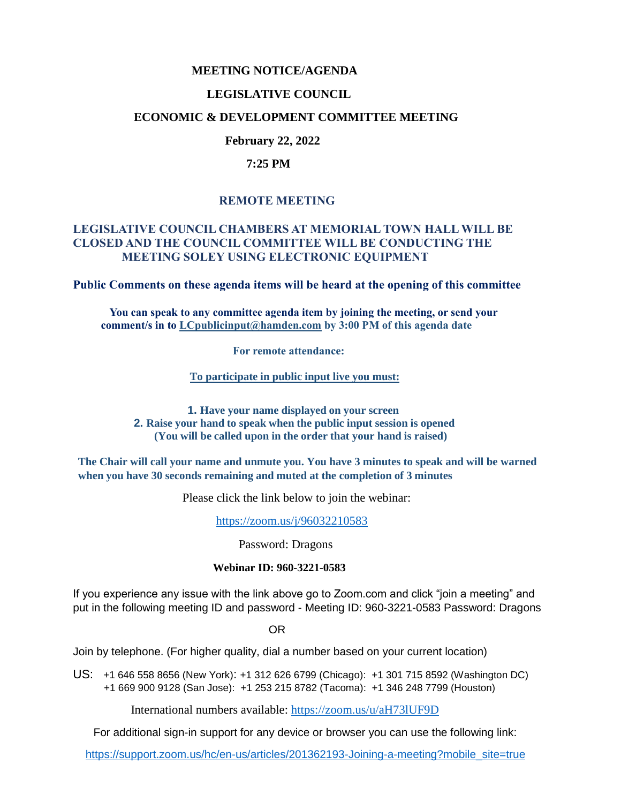### **MEETING NOTICE/AGENDA**

## **LEGISLATIVE COUNCIL**

## **ECONOMIC & DEVELOPMENT COMMITTEE MEETING**

## **February 22, 2022**

### **7:25 PM**

# **REMOTE MEETING**

## **LEGISLATIVE COUNCIL CHAMBERS AT MEMORIAL TOWN HALL WILL BE CLOSED AND THE COUNCIL COMMITTEE WILL BE CONDUCTING THE MEETING SOLEY USING ELECTRONIC EQUIPMENT**

**Public Comments on these agenda items will be heard at the opening of this committee** 

 **You can speak to any committee agenda item by joining the meeting, or send your comment/s in to [LCpublicinput@hamden.com](mailto:LCpublicinput@hamden.com) by 3:00 PM of this agenda date**

 **For remote attendance:**

**To participate in public input live you must:**

**1. Have your name displayed on your screen 2. Raise your hand to speak when the public input session is opened (You will be called upon in the order that your hand is raised)**

**The Chair will call your name and unmute you. You have 3 minutes to speak and will be warned when you have 30 seconds remaining and muted at the completion of 3 minutes**

Please click the link below to join the webinar:

<https://zoom.us/j/96032210583>

Password: Dragons

#### **Webinar ID: 960-3221-0583**

If you experience any issue with the link above go to Zoom.com and click "join a meeting" and put in the following meeting ID and password - Meeting ID: 960-3221-0583 Password: Dragons

OR

Join by telephone. (For higher quality, dial a number based on your current location)

US: [+1 646 558 8656 \(New York\)](tel:+16465588656): [+1 312 626 6799 \(Chicago\):](tel:+13126266799) [+1 301 715 8592 \(Washington DC\)](tel:+13017158592) +1 669 900 9128 (San Jose): [+1 253 215 8782 \(Tacoma\):](tel:+12532158782) [+1 346 248 7799 \(Houston\)](tel:+13462487799)

International numbers available:<https://zoom.us/u/aH73lUF9D>

For additional sign-in support for any device or browser you can use the following link:

[https://support.zoom.us/hc/en-us/articles/201362193-Joining-a-meeting?mobile\\_site=true](https://support.zoom.us/hc/en-us/articles/201362193-Joining-a-meeting?mobile_site=true)